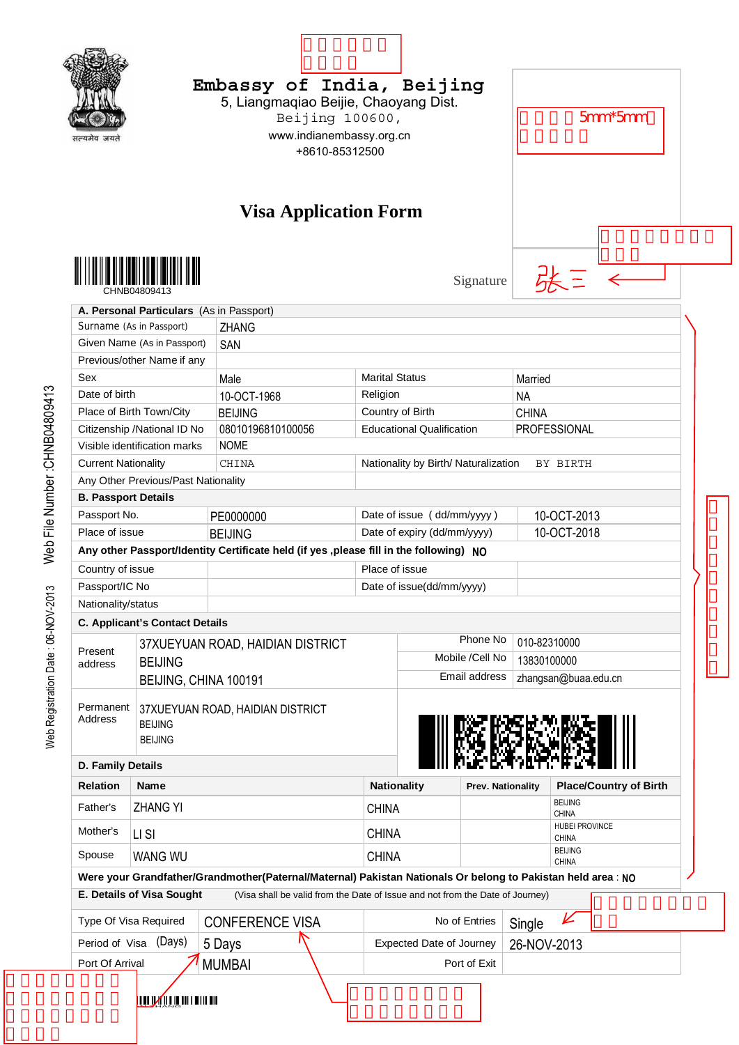|                                           |                                                                      |                                                                                                              | Embassy of India, Beijing<br>5, Liangmaqiao Beijie, Chaoyang Dist.<br>Beijing 100600,<br>www.indianembassy.org.cn<br>+8610-85312500 |                                      |                   |              | $5mm*5mm$                                      |                               |  |
|-------------------------------------------|----------------------------------------------------------------------|--------------------------------------------------------------------------------------------------------------|-------------------------------------------------------------------------------------------------------------------------------------|--------------------------------------|-------------------|--------------|------------------------------------------------|-------------------------------|--|
|                                           |                                                                      | <b>Visa Application Form</b>                                                                                 |                                                                                                                                     |                                      | Signature         |              | 张三 ←                                           |                               |  |
|                                           | A. Personal Particulars (As in Passport)                             |                                                                                                              |                                                                                                                                     |                                      |                   |              |                                                |                               |  |
|                                           | Surname (As in Passport)                                             | <b>ZHANG</b>                                                                                                 |                                                                                                                                     |                                      |                   |              |                                                |                               |  |
|                                           | Given Name (As in Passport)                                          | SAN                                                                                                          |                                                                                                                                     |                                      |                   |              |                                                |                               |  |
|                                           | Previous/other Name if any                                           |                                                                                                              |                                                                                                                                     |                                      |                   |              |                                                |                               |  |
| Sex                                       |                                                                      | Male                                                                                                         | <b>Marital Status</b>                                                                                                               |                                      |                   | Married      |                                                |                               |  |
| Date of birth                             |                                                                      | 10-OCT-1968                                                                                                  | Religion                                                                                                                            |                                      |                   | <b>NA</b>    |                                                |                               |  |
|                                           | Place of Birth Town/City                                             | <b>BEIJING</b>                                                                                               |                                                                                                                                     | Country of Birth                     |                   | <b>CHINA</b> |                                                |                               |  |
|                                           | Citizenship /National ID No                                          | 08010196810100056                                                                                            |                                                                                                                                     | <b>Educational Qualification</b>     |                   |              | PROFESSIONAL                                   |                               |  |
|                                           | Visible identification marks                                         | <b>NOME</b>                                                                                                  |                                                                                                                                     |                                      |                   |              |                                                |                               |  |
| <b>Current Nationality</b>                |                                                                      | CHINA                                                                                                        |                                                                                                                                     | Nationality by Birth/ Naturalization |                   |              | BY BIRTH                                       |                               |  |
|                                           | Any Other Previous/Past Nationality                                  |                                                                                                              |                                                                                                                                     |                                      |                   |              |                                                |                               |  |
| <b>B. Passport Details</b>                |                                                                      |                                                                                                              |                                                                                                                                     |                                      |                   |              |                                                |                               |  |
| Passport No.                              |                                                                      | PE0000000                                                                                                    |                                                                                                                                     | Date of issue (dd/mm/yyyy)           |                   |              | 10-OCT-2013                                    |                               |  |
| Place of issue                            |                                                                      |                                                                                                              |                                                                                                                                     | Date of expiry (dd/mm/yyyy)          |                   |              | 10-OCT-2018                                    |                               |  |
|                                           |                                                                      | <b>BEIJING</b>                                                                                               |                                                                                                                                     |                                      |                   |              |                                                |                               |  |
|                                           |                                                                      | Any other Passport/Identity Certificate held (if yes , please fill in the following) NO                      |                                                                                                                                     |                                      |                   |              |                                                |                               |  |
| Country of issue                          |                                                                      |                                                                                                              | Place of issue                                                                                                                      |                                      |                   |              |                                                |                               |  |
| Passport/IC No                            |                                                                      |                                                                                                              |                                                                                                                                     | Date of issue(dd/mm/yyyy)            |                   |              |                                                |                               |  |
| Nationality/status                        |                                                                      |                                                                                                              |                                                                                                                                     |                                      |                   |              |                                                |                               |  |
|                                           | C. Applicant's Contact Details                                       |                                                                                                              |                                                                                                                                     |                                      |                   |              |                                                |                               |  |
| Present                                   |                                                                      | 37XUEYUAN ROAD, HAIDIAN DISTRICT                                                                             |                                                                                                                                     |                                      | Phone No          | 010-82310000 |                                                |                               |  |
| address                                   | <b>BEIJING</b>                                                       |                                                                                                              |                                                                                                                                     |                                      | Mobile /Cell No   | 13830100000  |                                                |                               |  |
|                                           | BEIJING, CHINA 100191                                                |                                                                                                              |                                                                                                                                     |                                      | Email address     |              | zhangsan@buaa.edu.cn                           |                               |  |
| Permanent<br>Address<br>D. Family Details | 37XUEYUAN ROAD, HAIDIAN DISTRICT<br><b>BEIJING</b><br><b>BEIJING</b> |                                                                                                              |                                                                                                                                     |                                      |                   |              |                                                |                               |  |
| <b>Relation</b>                           | Name                                                                 |                                                                                                              | <b>Nationality</b>                                                                                                                  |                                      | Prev. Nationality |              |                                                | <b>Place/Country of Birth</b> |  |
|                                           |                                                                      |                                                                                                              |                                                                                                                                     |                                      |                   |              | <b>BEIJING</b>                                 |                               |  |
| Father's<br>Mother's                      | <b>ZHANG YI</b><br>LI SI                                             |                                                                                                              | <b>CHINA</b><br><b>CHINA</b>                                                                                                        |                                      |                   |              | <b>CHINA</b><br>HUBEI PROVINCE<br><b>CHINA</b> |                               |  |
| Spouse                                    | <b>WANG WU</b>                                                       |                                                                                                              | <b>CHINA</b>                                                                                                                        |                                      |                   |              | <b>BEIJING</b>                                 |                               |  |
|                                           |                                                                      |                                                                                                              |                                                                                                                                     |                                      |                   |              | <b>CHINA</b>                                   |                               |  |
|                                           |                                                                      | Were your Grandfather/Grandmother(Paternal/Maternal) Pakistan Nationals Or belong to Pakistan held area : NO |                                                                                                                                     |                                      |                   |              |                                                |                               |  |
|                                           | E. Details of Visa Sought                                            | (Visa shall be valid from the Date of Issue and not from the Date of Journey)                                |                                                                                                                                     |                                      |                   |              |                                                |                               |  |
|                                           | Type Of Visa Required                                                | <b>CONFERENCE VISA</b>                                                                                       |                                                                                                                                     | No of Entries                        |                   | Single       | ⊬                                              |                               |  |
| Period of Visa                            | (Days)                                                               | 5 Days                                                                                                       |                                                                                                                                     | <b>Expected Date of Journey</b>      |                   | 26-NOV-2013  |                                                |                               |  |
| Port Of Arrival                           |                                                                      | <b>MUMBAI</b>                                                                                                |                                                                                                                                     |                                      | Port of Exit      |              |                                                |                               |  |